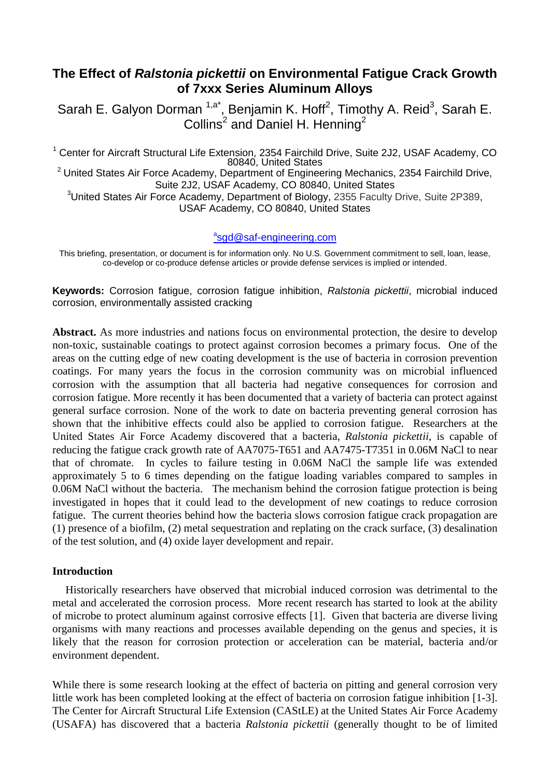# **The Effect of** *Ralstonia pickettii* **on Environmental Fatigue Crack Growth of 7xxx Series Aluminum Alloys**

Sarah E. Galyon Dorman <sup>1,a\*</sup>, Benjamin K. Hoff<sup>2</sup>, Timothy A. Reid<sup>3</sup>, Sarah E. Collins<sup>2</sup> and Daniel H. Henning<sup>2</sup>

<sup>1</sup> Center for Aircraft Structural Life Extension, 2354 Fairchild Drive, Suite 2J2, USAF Academy, CO 80840, United States  $2$  United States Air Force Academy, Department of Engineering Mechanics, 2354 Fairchild Drive, Suite 2J2, USAF Academy, CO 80840, United States <sup>3</sup>United States Air Force Academy, Department of Biology, 2355 Faculty Drive, Suite 2P389, USAF Academy, CO 80840, United States

## **angled** Saf-engineering.com

This briefing, presentation, or document is for information only. No U.S. Government commitment to sell, loan, lease, co-develop or co-produce defense articles or provide defense services is implied or intended.

**Keywords:** Corrosion fatigue, corrosion fatigue inhibition, *Ralstonia pickettii*, microbial induced corrosion, environmentally assisted cracking

**Abstract.** As more industries and nations focus on environmental protection, the desire to develop non-toxic, sustainable coatings to protect against corrosion becomes a primary focus. One of the areas on the cutting edge of new coating development is the use of bacteria in corrosion prevention coatings. For many years the focus in the corrosion community was on microbial influenced corrosion with the assumption that all bacteria had negative consequences for corrosion and corrosion fatigue. More recently it has been documented that a variety of bacteria can protect against general surface corrosion. None of the work to date on bacteria preventing general corrosion has shown that the inhibitive effects could also be applied to corrosion fatigue. Researchers at the United States Air Force Academy discovered that a bacteria, *Ralstonia pickettii*, is capable of reducing the fatigue crack growth rate of AA7075-T651 and AA7475-T7351 in 0.06M NaCl to near that of chromate. In cycles to failure testing in 0.06M NaCl the sample life was extended approximately 5 to 6 times depending on the fatigue loading variables compared to samples in 0.06M NaCl without the bacteria. The mechanism behind the corrosion fatigue protection is being investigated in hopes that it could lead to the development of new coatings to reduce corrosion fatigue. The current theories behind how the bacteria slows corrosion fatigue crack propagation are (1) presence of a biofilm, (2) metal sequestration and replating on the crack surface, (3) desalination of the test solution, and (4) oxide layer development and repair.

## **Introduction**

Historically researchers have observed that microbial induced corrosion was detrimental to the metal and accelerated the corrosion process. More recent research has started to look at the ability of microbe to protect aluminum against corrosive effects [1]. Given that bacteria are diverse living organisms with many reactions and processes available depending on the genus and species, it is likely that the reason for corrosion protection or acceleration can be material, bacteria and/or environment dependent.

While there is some research looking at the effect of bacteria on pitting and general corrosion very little work has been completed looking at the effect of bacteria on corrosion fatigue inhibition [1-3]. The Center for Aircraft Structural Life Extension (CAStLE) at the United States Air Force Academy (USAFA) has discovered that a bacteria *Ralstonia pickettii* (generally thought to be of limited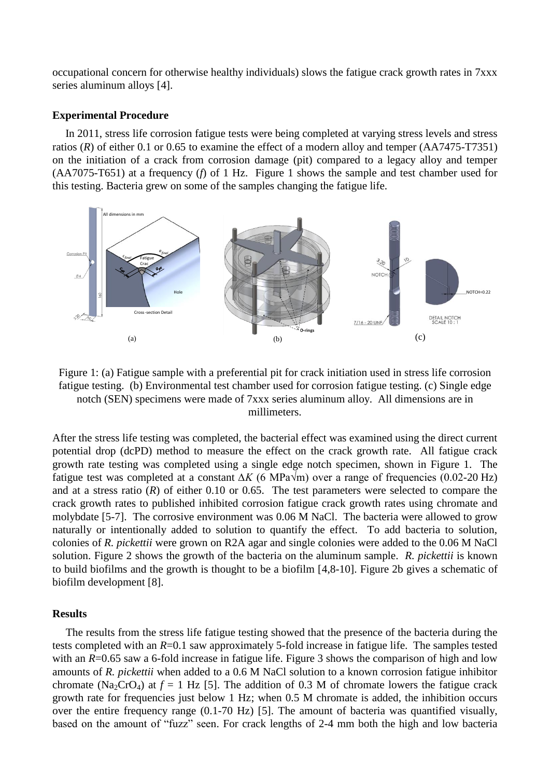occupational concern for otherwise healthy individuals) slows the fatigue crack growth rates in 7xxx series aluminum alloys [4].

### **Experimental Procedure**

In 2011, stress life corrosion fatigue tests were being completed at varying stress levels and stress ratios (*R*) of either 0.1 or 0.65 to examine the effect of a modern alloy and temper (AA7475-T7351) on the initiation of a crack from corrosion damage (pit) compared to a legacy alloy and temper (AA7075-T651) at a frequency (*f*) of 1 Hz. [Figure 1](#page-1-0) shows the sample and test chamber used for this testing. Bacteria grew on some of the samples changing the fatigue life.



<span id="page-1-0"></span>Figure 1: (a) Fatigue sample with a preferential pit for crack initiation used in stress life corrosion fatigue testing. (b) Environmental test chamber used for corrosion fatigue testing. (c) Single edge notch (SEN) specimens were made of 7xxx series aluminum alloy. All dimensions are in millimeters.

After the stress life testing was completed, the bacterial effect was examined using the direct current potential drop (dcPD) method to measure the effect on the crack growth rate. All fatigue crack growth rate testing was completed using a single edge notch specimen, shown in [Figure 1.](#page-1-0) The fatigue test was completed at a constant *∆K* (6 MPa√m) over a range of frequencies (0.02-20 Hz) and at a stress ratio (*R*) of either 0.10 or 0.65. The test parameters were selected to compare the crack growth rates to published inhibited corrosion fatigue crack growth rates using chromate and molybdate [5-7]. The corrosive environment was 0.06 M NaCl. The bacteria were allowed to grow naturally or intentionally added to solution to quantify the effect. To add bacteria to solution, colonies of *R. pickettii* were grown on R2A agar and single colonies were added to the 0.06 M NaCl solution. [Figure 2](#page-2-0) shows the growth of the bacteria on the aluminum sample. *R. pickettii* is known to build biofilms and the growth is thought to be a biofilm [4,8-10]. Figure 2b gives a schematic of biofilm development [8].

#### **Results**

The results from the stress life fatigue testing showed that the presence of the bacteria during the tests completed with an *R*=0.1 saw approximately 5-fold increase in fatigue life. The samples tested with an *R*=0.65 saw a 6-fold increase in fatigue life. [Figure 3](#page-3-0) shows the comparison of high and low amounts of *R. pickettii* when added to a 0.6 M NaCl solution to a known corrosion fatigue inhibitor chromate (Na<sub>2</sub>CrO<sub>4</sub>) at  $f = 1$  Hz [5]. The addition of 0.3 M of chromate lowers the fatigue crack growth rate for frequencies just below 1 Hz; when 0.5 M chromate is added, the inhibition occurs over the entire frequency range (0.1-70 Hz) [5]. The amount of bacteria was quantified visually, based on the amount of "fuzz" seen. For crack lengths of 2-4 mm both the high and low bacteria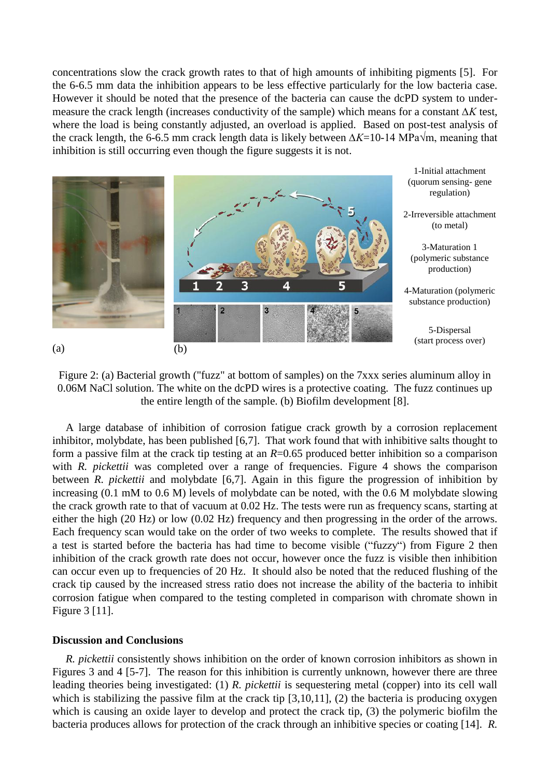concentrations slow the crack growth rates to that of high amounts of inhibiting pigments [5]. For the 6-6.5 mm data the inhibition appears to be less effective particularly for the low bacteria case. However it should be noted that the presence of the bacteria can cause the dcPD system to undermeasure the crack length (increases conductivity of the sample) which means for a constant *∆K* test, where the load is being constantly adjusted, an overload is applied. Based on post-test analysis of the crack length, the 6-6.5 mm crack length data is likely between *∆K*=10-14 MPa√m, meaning that inhibition is still occurring even though the figure suggests it is not.



Figure 2: (a) Bacterial growth ("fuzz" at bottom of samples) on the 7xxx series aluminum alloy in 0.06M NaCl solution. The white on the dcPD wires is a protective coating. The fuzz continues up the entire length of the sample. (b) Biofilm development [8].

<span id="page-2-0"></span>A large database of inhibition of corrosion fatigue crack growth by a corrosion replacement inhibitor, molybdate, has been published [6,7]. That work found that with inhibitive salts thought to form a passive film at the crack tip testing at an *R*=0.65 produced better inhibition so a comparison with *R. pickettii* was completed over a range of frequencies. [Figure 4](#page-3-1) shows the comparison between *R. pickettii* and molybdate [6,7]. Again in this figure the progression of inhibition by increasing (0.1 mM to 0.6 M) levels of molybdate can be noted, with the 0.6 M molybdate slowing the crack growth rate to that of vacuum at 0.02 Hz. The tests were run as frequency scans, starting at either the high (20 Hz) or low (0.02 Hz) frequency and then progressing in the order of the arrows. Each frequency scan would take on the order of two weeks to complete. The results showed that if a test is started before the bacteria has had time to become visible ("fuzzy") from [Figure 2](#page-2-0) then inhibition of the crack growth rate does not occur, however once the fuzz is visible then inhibition can occur even up to frequencies of 20 Hz. It should also be noted that the reduced flushing of the crack tip caused by the increased stress ratio does not increase the ability of the bacteria to inhibit corrosion fatigue when compared to the testing completed in comparison with chromate shown in [Figure 3](#page-3-0) [11].

#### **Discussion and Conclusions**

*R. pickettii* consistently shows inhibition on the order of known corrosion inhibitors as shown in Figures 3 and 4 [5-7]. The reason for this inhibition is currently unknown, however there are three leading theories being investigated: (1) *R. pickettii* is sequestering metal (copper) into its cell wall which is stabilizing the passive film at the crack tip [3,10,11], (2) the bacteria is producing oxygen which is causing an oxide layer to develop and protect the crack tip, (3) the polymeric biofilm the bacteria produces allows for protection of the crack through an inhibitive species or coating [14]. *R.*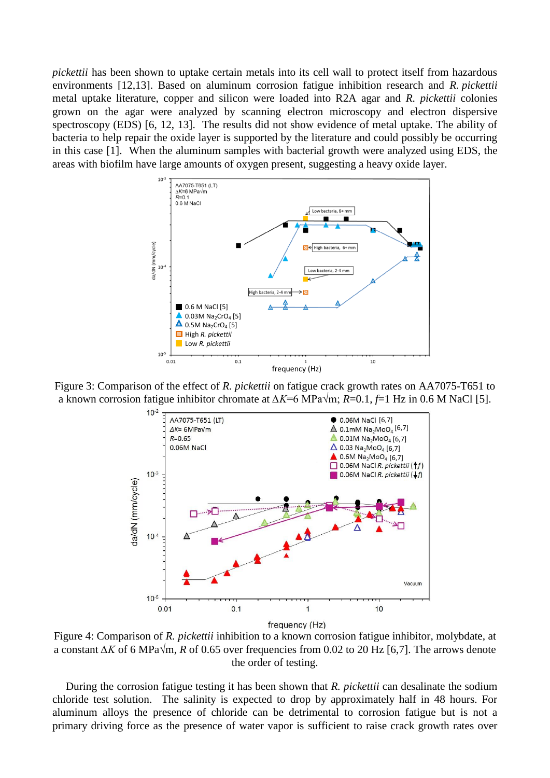*pickettii* has been shown to uptake certain metals into its cell wall to protect itself from hazardous environments [12,13]. Based on aluminum corrosion fatigue inhibition research and *R. pickettii* metal uptake literature, copper and silicon were loaded into R2A agar and *R. pickettii* colonies grown on the agar were analyzed by scanning electron microscopy and electron dispersive spectroscopy (EDS) [6, 12, 13]. The results did not show evidence of metal uptake. The ability of bacteria to help repair the oxide layer is supported by the literature and could possibly be occurring in this case [1]. When the aluminum samples with bacterial growth were analyzed using EDS, the areas with biofilm have large amounts of oxygen present, suggesting a heavy oxide layer.



<span id="page-3-0"></span>Figure 3: Comparison of the effect of *R. pickettii* on fatigue crack growth rates on AA7075-T651 to a known corrosion fatigue inhibitor chromate at *∆K*=6 MPa√m; *R*=0.1, *f*=1 Hz in 0.6 M NaCl [5].



<span id="page-3-1"></span>Figure 4: Comparison of *R. pickettii* inhibition to a known corrosion fatigue inhibitor, molybdate, at a constant *∆K* of 6 MPa√m, *R* of 0.65 over frequencies from 0.02 to 20 Hz [6,7]. The arrows denote the order of testing.

During the corrosion fatigue testing it has been shown that *R. pickettii* can desalinate the sodium chloride test solution. The salinity is expected to drop by approximately half in 48 hours. For aluminum alloys the presence of chloride can be detrimental to corrosion fatigue but is not a primary driving force as the presence of water vapor is sufficient to raise crack growth rates over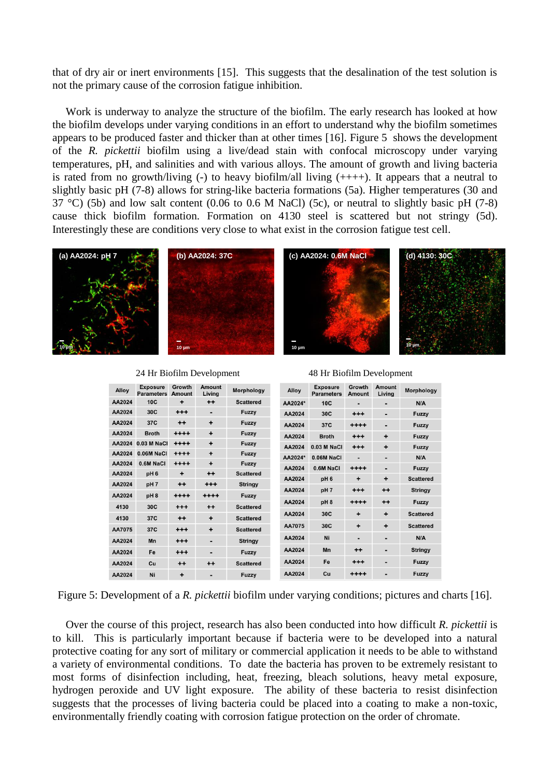that of dry air or inert environments [15]. This suggests that the desalination of the test solution is not the primary cause of the corrosion fatigue inhibition.

Work is underway to analyze the structure of the biofilm. The early research has looked at how the biofilm develops under varying conditions in an effort to understand why the biofilm sometimes appears to be produced faster and thicker than at other times [16]. [Figure 5](#page-4-0) shows the development of the *R. pickettii* biofilm using a live/dead stain with confocal microscopy under varying temperatures, pH, and salinities and with various alloys. The amount of growth and living bacteria is rated from no growth/living  $\left(\text{-}\right)$  to heavy biofilm/all living  $\left(\text{+++}\right)$ . It appears that a neutral to slightly basic pH (7-8) allows for string-like bacteria formations (5a). Higher temperatures (30 and 37 °C) (5b) and low salt content (0.06 to 0.6 M NaCl) (5c), or neutral to slightly basic pH (7-8) cause thick biofilm formation. Formation on 4130 steel is scattered but not stringy (5d). Interestingly these are conditions very close to what exist in the corrosion fatigue test cell.



| Alloy  | <b>Exposure</b><br><b>Parameters</b> | Growth<br>Amount | Amount<br>Living | Morphology       | Alloy   | <b>Exposure</b><br><b>Parameters</b> | Growth<br>Amount | Amount<br>Living | Morpholog        |
|--------|--------------------------------------|------------------|------------------|------------------|---------|--------------------------------------|------------------|------------------|------------------|
| AA2024 | 10C                                  | ÷                | $+ +$            | <b>Scattered</b> | AA2024* | 10C                                  | $\blacksquare$   |                  | N/A              |
| AA2024 | 30C                                  | $^{+++}$         |                  | Fuzzy            | AA2024  | 30C                                  | $^{+++}$         | -                | <b>Fuzzy</b>     |
| AA2024 | 37C                                  | $++$             | $\ddot{}$        | Fuzzy            | AA2024  | 37C                                  | $^{++++}$        |                  | Fuzzy            |
| AA2024 | <b>Broth</b>                         | $***$            | $\ddot{}$        | Fuzzy            | AA2024  | <b>Broth</b>                         | $^{+++}$         | ٠                | Fuzzy            |
| AA2024 | $0.03$ M NaCl                        | $^{++++}$        | $\ddot{}$        | Fuzzy            | AA2024  | 0.03 M NaCl                          | $^{+++}$         | ÷                | Fuzzy            |
| AA2024 | 0.06M NaCl                           | $^{++++}$        | $\ddot{}$        | <b>Fuzzy</b>     | AA2024* | 0.06M NaCl                           | $\blacksquare$   |                  | N/A              |
| AA2024 | 0.6M NaCl                            | $^{***}$         | ÷                | <b>Fuzzy</b>     | AA2024  | 0.6M NaCl                            | $^{++++}$        | $\blacksquare$   | <b>Fuzzy</b>     |
| AA2024 | pH <sub>6</sub>                      | ÷                | $++$             | <b>Scattered</b> | AA2024  | pH <sub>6</sub>                      | $\ddot{}$        | +                | <b>Scattered</b> |
| AA2024 | pH <sub>7</sub>                      | $++$             | $^{+++}$         | <b>Stringy</b>   | AA2024  |                                      |                  |                  |                  |
| AA2024 | pH <sub>8</sub>                      | $***$            | $***$            | <b>Fuzzy</b>     |         | pH7                                  | $^{++}$          | $++$             | <b>Stringy</b>   |
| 4130   | 30C                                  | $^{+++}$         | $++$             | <b>Scattered</b> | AA2024  | pH <sub>8</sub>                      | $^{++++}$        | $++$             | Fuzzy            |
| 4130   | 37C                                  | $++$             | $\ddot{}$        | <b>Scattered</b> | AA2024  | 30C                                  | $\ddot{}$        | ÷                | <b>Scattered</b> |
| AA7075 | 37C                                  | $^{++}$          | $\ddot{}$        | <b>Scattered</b> | AA7075  | 30C                                  | $\ddot{}$        | $\ddot{}$        | <b>Scattered</b> |
| AA2024 | Mn                                   | $^{+++}$         |                  | <b>Stringy</b>   | AA2024  | Ni                                   |                  |                  | N/A              |
|        |                                      |                  |                  |                  | AA2024  | Mn                                   | $^{\mathrm{+}}$  | -                | <b>Stringy</b>   |
| AA2024 | Fe                                   | $^{++}$          |                  | Fuzzy            |         |                                      |                  |                  |                  |
| AA2024 | Cu                                   | $^{++}$          | $++$             | <b>Scattered</b> | AA2024  | Fe                                   | $^{++}$          |                  | <b>Fuzzy</b>     |
| AA2024 | Ni                                   | ÷                |                  | Fuzzy            | AA2024  | Cu                                   | $^{***}$         |                  | <b>Fuzzy</b>     |

24 Hr Biofilm Development 48 Hr Biofilm Development

<span id="page-4-0"></span>Figure 5: Development of a *R. pickettii* biofilm under varying conditions; pictures and charts [16].

Over the course of this project, research has also been conducted into how difficult *R. pickettii* is to kill. This is particularly important because if bacteria were to be developed into a natural protective coating for any sort of military or commercial application it needs to be able to withstand a variety of environmental conditions. To date the bacteria has proven to be extremely resistant to most forms of disinfection including, heat, freezing, bleach solutions, heavy metal exposure, hydrogen peroxide and UV light exposure. The ability of these bacteria to resist disinfection suggests that the processes of living bacteria could be placed into a coating to make a non-toxic, environmentally friendly coating with corrosion fatigue protection on the order of chromate.